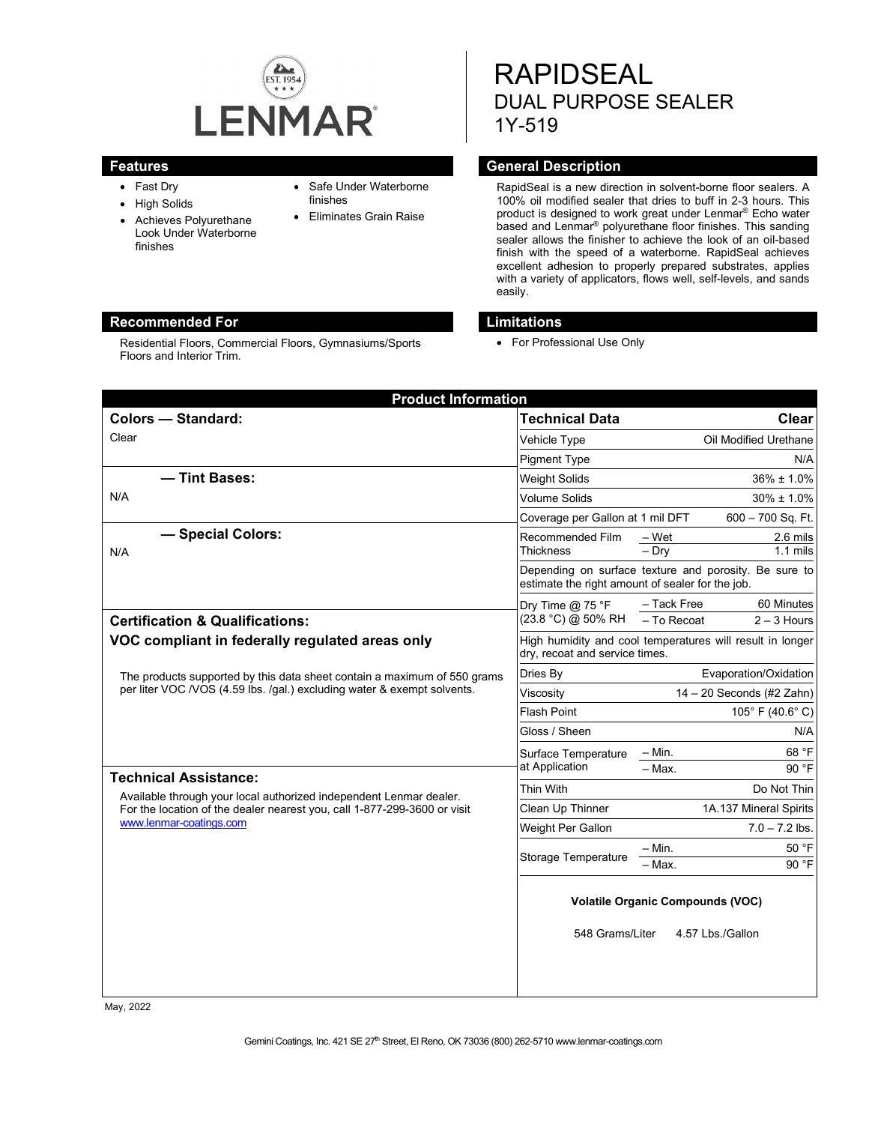

Residential Floors, Commercial Floors, Gymnasiums/Sports

- Fast Dry
- High Solids
- Achieves Polyurethane Look Under Waterborne finishes

Floors and Interior Trim.

- Safe Under Waterborne finishes
- Eliminates Grain Raise

RAPIDSEAL DUAL PURPOSE SEALER 1Y-519

# **Features General Description**

RapidSeal is a new direction in solvent-borne floor sealers. A 100% oil modified sealer that dries to buff in 2-3 hours. This product is designed to work great under Lenmar® Echo water based and Lenmar® polyurethane floor finishes. This sanding sealer allows the finisher to achieve the look of an oil-based finish with the speed of a waterborne. RapidSeal achieves excellent adhesion to properly prepared substrates, applies with a variety of applicators, flows well, self-levels, and sands easily.

# **Recommended For Limitations**

• For Professional Use Only

| <b>Product Information</b>                                                                                                                                                |                                                                                                           |                                                           |
|---------------------------------------------------------------------------------------------------------------------------------------------------------------------------|-----------------------------------------------------------------------------------------------------------|-----------------------------------------------------------|
| <b>Colors - Standard:</b>                                                                                                                                                 | <b>Technical Data</b>                                                                                     | <b>Clear</b>                                              |
| Clear                                                                                                                                                                     | Vehicle Type                                                                                              | Oil Modified Urethane                                     |
|                                                                                                                                                                           | <b>Pigment Type</b>                                                                                       | N/A                                                       |
| - Tint Bases:                                                                                                                                                             | <b>Weight Solids</b>                                                                                      | $36\% \pm 1.0\%$                                          |
| N/A                                                                                                                                                                       | <b>Volume Solids</b>                                                                                      | $30\% \pm 1.0\%$                                          |
|                                                                                                                                                                           | Coverage per Gallon at 1 mil DFT                                                                          | 600 - 700 Sq. Ft.                                         |
| - Special Colors:<br>N/A                                                                                                                                                  | Recommended Film<br>Thickness                                                                             | – Wet<br>2.6 mils<br>$-$ Drv<br>$1.1$ mils                |
|                                                                                                                                                                           | Depending on surface texture and porosity. Be sure to<br>estimate the right amount of sealer for the job. |                                                           |
| <b>Certification &amp; Qualifications:</b>                                                                                                                                | Dry Time $@$ 75 ${}^{\circ}$ F<br>(23.8 °C) @ 50% RH                                                      | - Tack Free<br>60 Minutes<br>- To Recoat<br>$2 - 3$ Hours |
| VOC compliant in federally regulated areas only                                                                                                                           | High humidity and cool temperatures will result in longer<br>dry, recoat and service times.               |                                                           |
| The products supported by this data sheet contain a maximum of 550 grams<br>per liter VOC /VOS (4.59 lbs. /gal.) excluding water & exempt solvents.                       | Dries By                                                                                                  | Evaporation/Oxidation                                     |
|                                                                                                                                                                           | Viscosity                                                                                                 | 14 - 20 Seconds (#2 Zahn)                                 |
|                                                                                                                                                                           | <b>Flash Point</b>                                                                                        | 105° F (40.6° C)                                          |
|                                                                                                                                                                           | Gloss / Sheen                                                                                             | N/A                                                       |
|                                                                                                                                                                           | Surface Temperature                                                                                       | 68 °F<br>$- Min.$                                         |
| <b>Technical Assistance:</b>                                                                                                                                              | at Application                                                                                            | $-$ Max.<br>90 °F                                         |
| Available through your local authorized independent Lenmar dealer.<br>For the location of the dealer nearest you, call 1-877-299-3600 or visit<br>www.lenmar-coatings.com | Thin With                                                                                                 | Do Not Thin                                               |
|                                                                                                                                                                           | Clean Up Thinner                                                                                          | 1A.137 Mineral Spirits                                    |
|                                                                                                                                                                           | Weight Per Gallon                                                                                         | $7.0 - 7.2$ lbs.                                          |
|                                                                                                                                                                           | <b>Storage Temperature</b>                                                                                | 50 °F<br>– Min.<br>90 °F<br>- Max.                        |
|                                                                                                                                                                           | <b>Volatile Organic Compounds (VOC)</b><br>548 Grams/Liter<br>4.57 Lbs./Gallon                            |                                                           |
|                                                                                                                                                                           |                                                                                                           |                                                           |

May, 2022